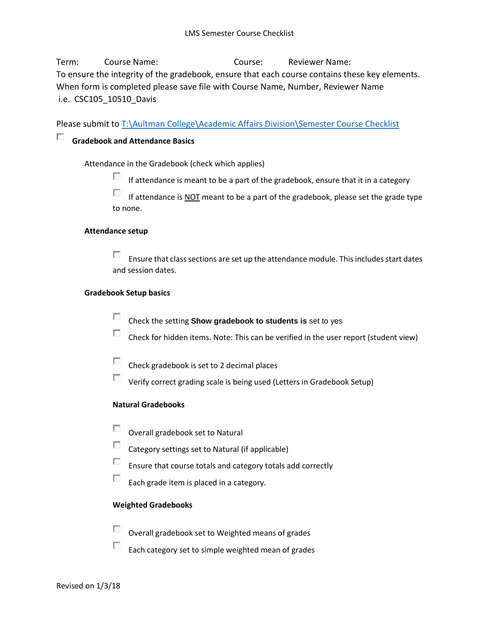Term: Course Name: Course: Reviewer Name: To ensure the integrity of the gradebook, ensure that each course contains these key elements. When form is completed please save file with Course Name, Number, Reviewer Name i.e. CSC105\_10510\_Davis

Please submit to [T:\Aultman College\Academic Affairs Division\Semester Course Checklist](file://///ahfdfs/dfs/department/Aultman%20College/Academic%20Affairs%20Division/Semester%20Course%20Checklist)

# **Gradebook and Attendance Basics**

Attendance in the Gradebook (check which applies)

If attendance is meant to be a part of the gradebook, ensure that it in a category

П If attendance is NOT meant to be a part of the gradebook, please set the grade type to none.

### **Attendance setup**

П Ensure that class sections are set up the attendance module. This includes start dates and session dates.

### **Gradebook Setup basics**

- п Check the setting **Show gradebook to students is** set to yes
- П. Check for hidden items. Note: This can be verified in the user report (student view)
- П Check gradebook is set to 2 decimal places
- П. Verify correct grading scale is being used (Letters in Gradebook Setup)

## **Natural Gradebooks**

- П Overall gradebook set to Natural
- П Category settings set to Natural (if applicable)
- П Ensure that course totals and category totals add correctly
- П Each grade item is placed in a category.

### **Weighted Gradebooks**

- П. Overall gradebook set to Weighted means of grades
- П Each category set to simple weighted mean of grades